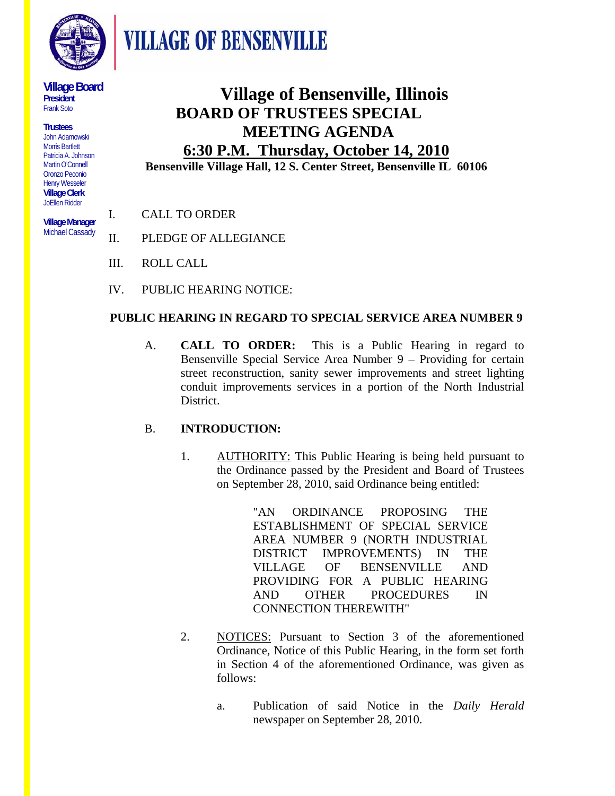

**VILLAGE OF BENSENVILLE** 

**Village Board President**  Frank Soto

**Trustees**  John Adamowski Morris Bartlett Patricia A. Johnson Martin O'Connell Oronzo Peconio Henry Wesseler **Village Clerk**  JoEllen Ridder

**Village Manager**  Michael Cassady

## **Village of Bensenville, Illinois BOARD OF TRUSTEES SPECIAL MEETING AGENDA 6:30 P.M. Thursday, October 14, 2010**

**Bensenville Village Hall, 12 S. Center Street, Bensenville IL 60106**

- I. CALL TO ORDER
- II. PLEDGE OF ALLEGIANCE
- III. ROLL CALL
- IV. PUBLIC HEARING NOTICE:

#### **PUBLIC HEARING IN REGARD TO SPECIAL SERVICE AREA NUMBER 9**

A. **CALL TO ORDER:** This is a Public Hearing in regard to Bensenville Special Service Area Number 9 – Providing for certain street reconstruction, sanity sewer improvements and street lighting conduit improvements services in a portion of the North Industrial District.

### B. **INTRODUCTION:**

1. AUTHORITY: This Public Hearing is being held pursuant to the Ordinance passed by the President and Board of Trustees on September 28, 2010, said Ordinance being entitled:

> "AN ORDINANCE PROPOSING THE ESTABLISHMENT OF SPECIAL SERVICE AREA NUMBER 9 (NORTH INDUSTRIAL DISTRICT IMPROVEMENTS) IN THE VILLAGE OF BENSENVILLE AND PROVIDING FOR A PUBLIC HEARING AND OTHER PROCEDURES IN CONNECTION THEREWITH"

- 2. NOTICES: Pursuant to Section 3 of the aforementioned Ordinance, Notice of this Public Hearing, in the form set forth in Section 4 of the aforementioned Ordinance, was given as follows:
	- a. Publication of said Notice in the *Daily Herald* newspaper on September 28, 2010.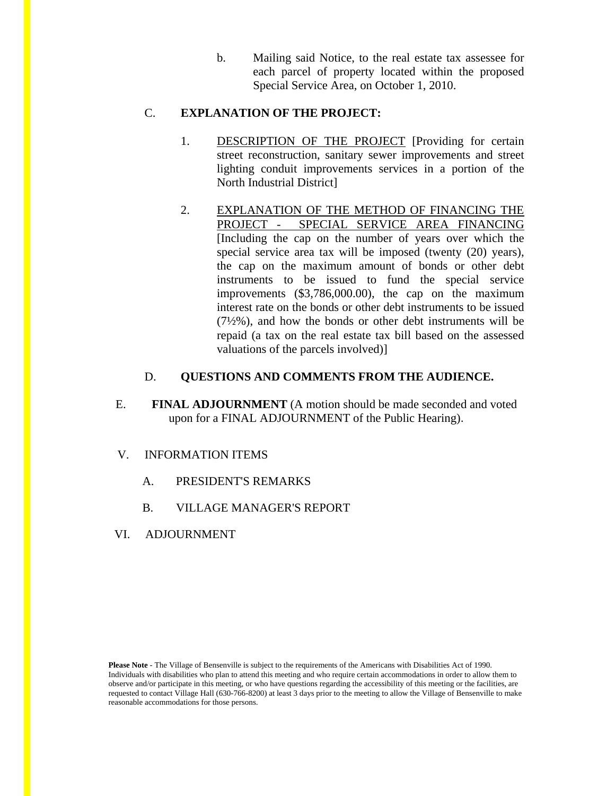b. Mailing said Notice, to the real estate tax assessee for each parcel of property located within the proposed Special Service Area, on October 1, 2010.

#### C. **EXPLANATION OF THE PROJECT:**

- 1. DESCRIPTION OF THE PROJECT [Providing for certain street reconstruction, sanitary sewer improvements and street lighting conduit improvements services in a portion of the North Industrial District]
- 2. EXPLANATION OF THE METHOD OF FINANCING THE PROJECT - SPECIAL SERVICE AREA FINANCING [Including the cap on the number of years over which the special service area tax will be imposed (twenty (20) years), the cap on the maximum amount of bonds or other debt instruments to be issued to fund the special service improvements (\$3,786,000.00), the cap on the maximum interest rate on the bonds or other debt instruments to be issued  $(7\frac{1}{2}\%)$ , and how the bonds or other debt instruments will be repaid (a tax on the real estate tax bill based on the assessed valuations of the parcels involved)]

#### D. **QUESTIONS AND COMMENTS FROM THE AUDIENCE.**

E. **FINAL ADJOURNMENT** (A motion should be made seconded and voted upon for a FINAL ADJOURNMENT of the Public Hearing).

#### V. INFORMATION ITEMS

- A. PRESIDENT'S REMARKS
- B. VILLAGE MANAGER'S REPORT
- VI. ADJOURNMENT

**Please Note** - The Village of Bensenville is subject to the requirements of the Americans with Disabilities Act of 1990. Individuals with disabilities who plan to attend this meeting and who require certain accommodations in order to allow them to observe and/or participate in this meeting, or who have questions regarding the accessibility of this meeting or the facilities, are requested to contact Village Hall (630-766-8200) at least 3 days prior to the meeting to allow the Village of Bensenville to make reasonable accommodations for those persons.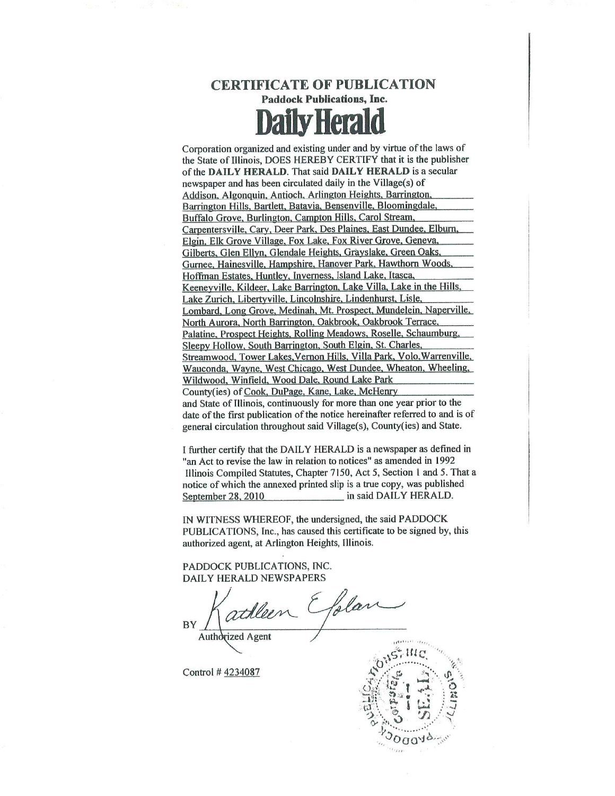

Corporation organized and existing under and by virtue of the laws of the State of Illinois. DOES HEREBY CERTIFY that it is the publisher of the DAILY HERALD. That said DAILY HERALD is a secular newspaper and has been circulated daily in the Village(s) of Addison, Algonquin, Antioch, Arlington Heights, Barrington Barrington Hills, Bartlett, Batavia, Bensenville, Bloomingdale, Buffalo Grove, Burlington, Campton Hills, Carol Stream, Carpentersville, Cary, Deer Park, Des Plaines, East Dundee, Elburn. Elgin, Elk Grove Village, Fox Lake, Fox River Grove, Geneva, Gilberts, Glen Ellyn, Glendale Heights, Grayslake, Green Oaks, Gurnee, Hainesville, Hampshire, Hanover Park, Hawthorn Woods, Hoffman Estates, Huntley, Inverness, Island Lake, Itasca, Keeneyville, Kildeer, Lake Barrington, Lake Villa, Lake in the Hills, Lake Zurich, Libertyville, Lincolnshire, Lindenhurst, Lisle, Lombard, Long Grove, Medinah, Mt. Prospect, Mundelein, Naperville, North Aurora, North Barrington, Oakbrook, Oakbrook Terrace, Palatine, Prospect Heights, Rolling Meadows, Roselle, Schaumburg, Sleepy Hollow, South Barrington, South Elgin, St. Charles, Streamwood, Tower Lakes, Vernon Hills, Villa Park, Volo, Warrenville, Wauconda, Wayne, West Chicago, West Dundee, Wheaton, Wheeling, Wildwood, Winfield, Wood Dale, Round Lake Park County(ies) of Cook, DuPage, Kane, Lake, McHenry and State of Illinois, continuously for more than one year prior to the date of the first publication of the notice hereinafter referred to and is of general circulation throughout said Village(s), County(ies) and State.

I further certify that the DAILY HERALD is a newspaper as defined in "an Act to revise the law in relation to notices" as amended in 1992 Illinois Compiled Statutes, Chapter 7150, Act 5, Section 1 and 5. That a notice of which the annexed printed slip is a true copy, was published September 28, 2010 in said DAILY HERALD.

IN WITNESS WHEREOF, the undersigned, the said PADDOCK PUBLICATIONS, Inc., has caused this certificate to be signed by, this authorized agent, at Arlington Heights, Illinois.

PADDOCK PUBLICATIONS, INC. **DAILY HERALD NEWSPAPERS** 

athleen Efolan BY Authorized Agent

Control #4234087